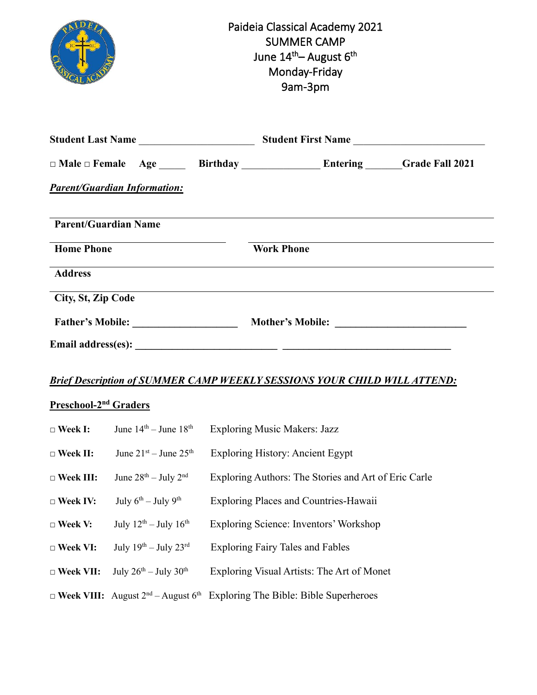|                                     | Paideia Classical Academy 2021<br><b>SUMMER CAMP</b><br>June 14 <sup>th</sup> – August 6 <sup>th</sup><br>Monday-Friday<br>9am-3pm |
|-------------------------------------|------------------------------------------------------------------------------------------------------------------------------------|
|                                     |                                                                                                                                    |
|                                     |                                                                                                                                    |
| <b>Parent/Guardian Information:</b> |                                                                                                                                    |
| <b>Parent/Guardian Name</b>         |                                                                                                                                    |
| <b>Home Phone</b>                   | <b>Work Phone</b>                                                                                                                  |
| <b>Address</b>                      | ,我们也不会有一个人的人,我们也不会有一个人的人,我们也不会有一个人的人。""我们,我们也不会有一个人的人,我们也不会有一个人的人,我们也不会有一个人的人。""我                                                  |
| City, St, Zip Code                  |                                                                                                                                    |
|                                     |                                                                                                                                    |
|                                     |                                                                                                                                    |

## *Brief Description of SUMMER CAMP WEEKLY SESSIONS YOUR CHILD WILL ATTEND:*

## **Preschool-2 nd Graders**

| $\Box$ Week I:   | June $14th - June 18th$                       | <b>Exploring Music Makers: Jazz</b>                                                                      |
|------------------|-----------------------------------------------|----------------------------------------------------------------------------------------------------------|
| $\Box$ Week II:  | June $21^{st}$ – June $25^{th}$               | <b>Exploring History: Ancient Egypt</b>                                                                  |
| $\Box$ Week III: | June $28th - July 2nd$                        | Exploring Authors: The Stories and Art of Eric Carle                                                     |
| $\Box$ Week IV:  | July $6^{th}$ – July $9^{th}$                 | <b>Exploring Places and Countries-Hawaii</b>                                                             |
| $\Box$ Week V:   | July $12^{th}$ – July $16^{th}$               | Exploring Science: Inventors' Workshop                                                                   |
| $\Box$ Week VI:  | July $19^{th}$ – July $23^{rd}$               | <b>Exploring Fairy Tales and Fables</b>                                                                  |
| $\Box$ Week VII: | July $26^{\text{th}} -$ July $30^{\text{th}}$ | Exploring Visual Artists: The Art of Monet                                                               |
|                  |                                               | $\Box$ Week VIII: August 2 <sup>nd</sup> – August 6 <sup>th</sup> Exploring The Bible: Bible Superheroes |